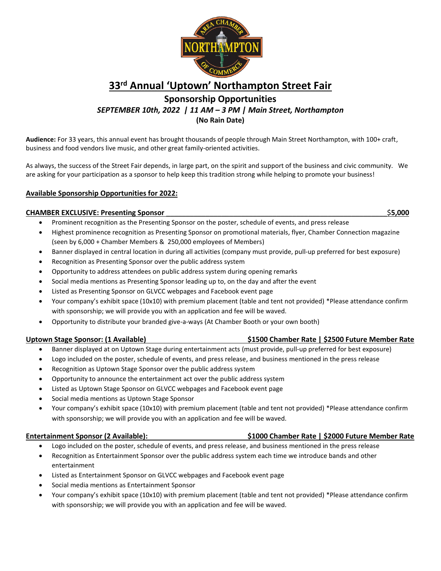

# **33rd Annual 'Uptown' Northampton Street Fair**

**Sponsorship Opportunities** *SEPTEMBER 10th, 2022 | 11 AM – 3 PM | Main Street, Northampton*

**(No Rain Date)** 

**Audience:** For 33 years, this annual event has brought thousands of people through Main Street Northampton, with 100+ craft, business and food vendors live music, and other great family-oriented activities.

As always, the success of the Street Fair depends, in large part, on the spirit and support of the business and civic community. We are asking for your participation as a sponsor to help keep this tradition strong while helping to promote your business!

### **Available Sponsorship Opportunities for 2022:**

### **CHAMBER EXCLUSIVE: Presenting Sponsor** \_\_\_\_\_\_\_\_\_\_\_\_\_\_\_\_\_\_\_\_\_\_\_\_\_\_\_\_\_\_\_\_\_\_\_\_\_\_\_\_\_\_\_\_\_\_\_\_\_\_\_\_\_\_\_\_\$**5,000**

- Prominent recognition as the Presenting Sponsor on the poster, schedule of events, and press release
- Highest prominence recognition as Presenting Sponsor on promotional materials, flyer, Chamber Connection magazine (seen by 6,000 + Chamber Members & 250,000 employees of Members)
- Banner displayed in central location in during all activities (company must provide, pull-up preferred for best exposure)
- Recognition as Presenting Sponsor over the public address system
- Opportunity to address attendees on public address system during opening remarks
- Social media mentions as Presenting Sponsor leading up to, on the day and after the event
- Listed as Presenting Sponsor on GLVCC webpages and Facebook event page
- Your company's exhibit space (10x10) with premium placement (table and tent not provided) \*Please attendance confirm with sponsorship; we will provide you with an application and fee will be waved.
- Opportunity to distribute your branded give-a-ways (At Chamber Booth or your own booth)

### **Uptown Stage Sponsor: (1 Available) \$1500 Chamber Rate | \$2500 Future Member Rate**

- Banner displayed at on Uptown Stage during entertainment acts (must provide, pull-up preferred for best exposure)
- Logo included on the poster, schedule of events, and press release, and business mentioned in the press release
- Recognition as Uptown Stage Sponsor over the public address system
- Opportunity to announce the entertainment act over the public address system
- Listed as Uptown Stage Sponsor on GLVCC webpages and Facebook event page
- Social media mentions as Uptown Stage Sponsor
- Your company's exhibit space (10x10) with premium placement (table and tent not provided) \*Please attendance confirm with sponsorship; we will provide you with an application and fee will be waved.

### **Entertainment Sponsor (2 Available): \$1000 Chamber Rate | \$2000 Future Member Rate**

- Logo included on the poster, schedule of events, and press release, and business mentioned in the press release
- Recognition as Entertainment Sponsor over the public address system each time we introduce bands and other entertainment
- Listed as Entertainment Sponsor on GLVCC webpages and Facebook event page
- Social media mentions as Entertainment Sponsor
- Your company's exhibit space (10x10) with premium placement (table and tent not provided) \*Please attendance confirm with sponsorship; we will provide you with an application and fee will be waved.